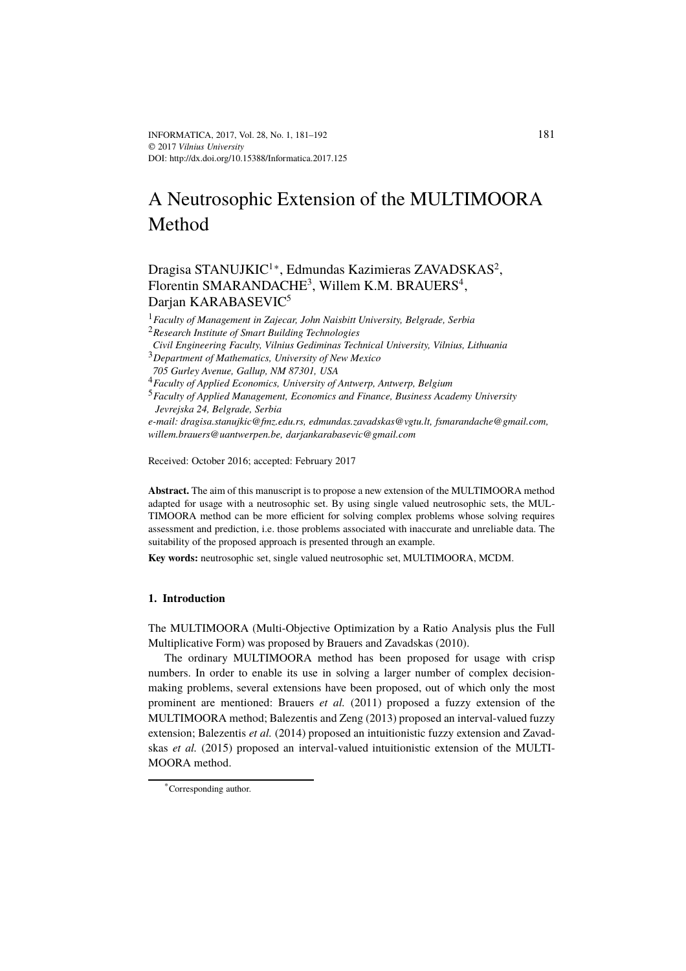# A Neutrosophic Extension of the MULTIMOORA Method

# Dragisa STANUJKIC<sup>1</sup>\*, Edmundas Kazimieras ZAVADSKAS<sup>2</sup>, Florentin SMARANDACHE<sup>3</sup>, Willem K.M. BRAUERS<sup>4</sup>, Darjan KARABASEVIC<sup>5</sup>

<sup>1</sup>*Faculty of Management in Zajecar, John Naisbitt University, Belgrade, Serbia* <sup>2</sup>*Research Institute of Smart Building Technologies*

*Civil Engineering Faculty, Vilnius Gediminas Technical University, Vilnius, Lithuania* <sup>3</sup>*Department of Mathematics, University of New Mexico*

*705 Gurley Avenue, Gallup, NM 87301, USA*

<sup>4</sup>*Faculty of Applied Economics, University of Antwerp, Antwerp, Belgium*

<sup>5</sup>*Faculty of Applied Management, Economics and Finance, Business Academy University Jevrejska 24, Belgrade, Serbia*

*e-mail: dragisa.stanujkic@fmz.edu.rs, edmundas.zavadskas@vgtu.lt, fsmarandache@gmail.com, willem.brauers@uantwerpen.be, darjankarabasevic@gmail.com*

Received: October 2016; accepted: February 2017

**Abstract.** The aim of this manuscript is to propose a new extension of the MULTIMOORA method adapted for usage with a neutrosophic set. By using single valued neutrosophic sets, the MUL-TIMOORA method can be more efficient for solving complex problems whose solving requires assessment and prediction, i.e. those problems associated with inaccurate and unreliable data. The suitability of the proposed approach is presented through an example.

**Key words:** neutrosophic set, single valued neutrosophic set, MULTIMOORA, MCDM.

#### **1. Introduction**

The MULTIMOORA (Multi-Objective Optimization by a Ratio Analysis plus the Full Multiplicative Form) was proposed by Brauers and Zavadskas (2010).

The ordinary MULTIMOORA method has been proposed for usage with crisp numbers. In order to enable its use in solving a larger number of complex decisionmaking problems, several extensions have been proposed, out of which only the most prominent are mentioned: Brauers *et al.* (2011) proposed a fuzzy extension of the MULTIMOORA method; Balezentis and Zeng (2013) proposed an interval-valued fuzzy extension; Balezentis *et al.* (2014) proposed an intuitionistic fuzzy extension and Zavadskas *et al.* (2015) proposed an interval-valued intuitionistic extension of the MULTI-MOORA method.

<sup>\*</sup>Corresponding author.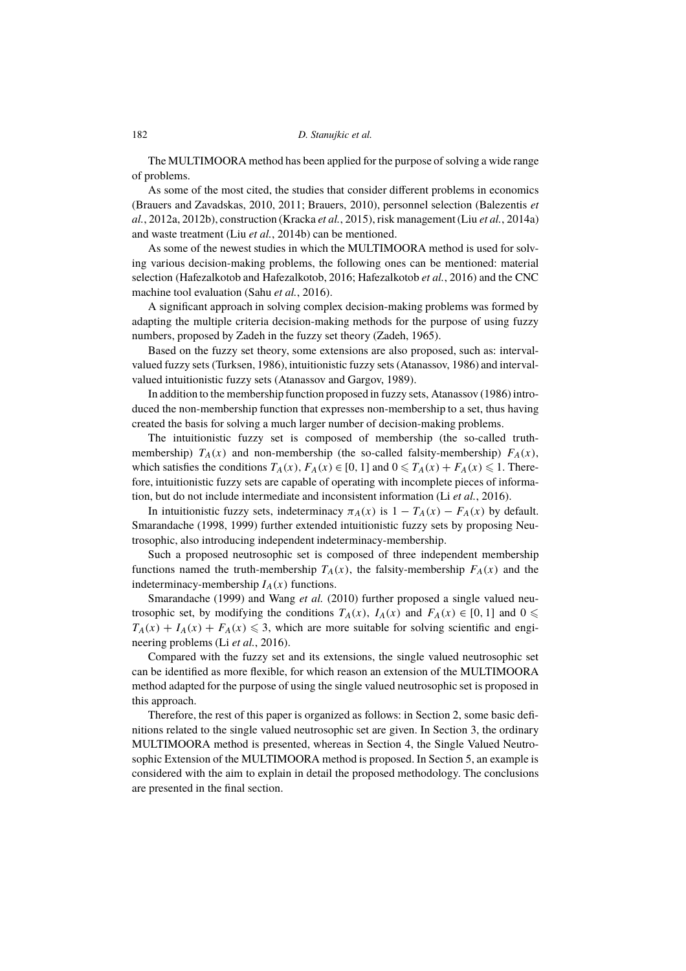The MULTIMOORA method has been applied for the purpose of solving a wide range of problems.

As some of the most cited, the studies that consider different problems in economics (Brauers and Zavadskas, 2010, 2011; Brauers, 2010), personnel selection (Balezentis *et al.*, 2012a, 2012b), construction (Kracka *et al.*, 2015), risk management (Liu *et al.*, 2014a) and waste treatment (Liu *et al.*, 2014b) can be mentioned.

As some of the newest studies in which the MULTIMOORA method is used for solving various decision-making problems, the following ones can be mentioned: material selection (Hafezalkotob and Hafezalkotob, 2016; Hafezalkotob *et al.*, 2016) and the CNC machine tool evaluation (Sahu *et al.*, 2016).

A significant approach in solving complex decision-making problems was formed by adapting the multiple criteria decision-making methods for the purpose of using fuzzy numbers, proposed by Zadeh in the fuzzy set theory (Zadeh, 1965).

Based on the fuzzy set theory, some extensions are also proposed, such as: intervalvalued fuzzy sets (Turksen, 1986), intuitionistic fuzzy sets (Atanassov, 1986) and intervalvalued intuitionistic fuzzy sets (Atanassov and Gargov, 1989).

In addition to the membership function proposed in fuzzy sets, Atanassov (1986) introduced the non-membership function that expresses non-membership to a set, thus having created the basis for solving a much larger number of decision-making problems.

The intuitionistic fuzzy set is composed of membership (the so-called truthmembership)  $T_A(x)$  and non-membership (the so-called falsity-membership)  $F_A(x)$ , which satisfies the conditions  $T_A(x)$ ,  $F_A(x) \in [0, 1]$  and  $0 \le T_A(x) + F_A(x) \le 1$ . Therefore, intuitionistic fuzzy sets are capable of operating with incomplete pieces of information, but do not include intermediate and inconsistent information (Li *et al.*, 2016).

In intuitionistic fuzzy sets, indeterminacy  $\pi_A(x)$  is  $1 - T_A(x) - F_A(x)$  by default. Smarandache (1998, 1999) further extended intuitionistic fuzzy sets by proposing Neutrosophic, also introducing independent indeterminacy-membership.

Such a proposed neutrosophic set is composed of three independent membership functions named the truth-membership  $T_A(x)$ , the falsity-membership  $F_A(x)$  and the indeterminacy-membership  $I_A(x)$  functions.

Smarandache (1999) and Wang et al. (2010) further proposed a single valued neutrosophic set, by modifying the conditions  $T_A(x)$ ,  $I_A(x)$  and  $F_A(x) \in [0, 1]$  and  $0 \le$  $T_A(x) + I_A(x) + F_A(x) \leq 3$ , which are more suitable for solving scientific and engineering problems (Li *et al.*, 2016).

Compared with the fuzzy set and its extensions, the single valued neutrosophic set can be identified as more flexible, for which reason an extension of the MULTIMOORA method adapted for the purpose of using the single valued neutrosophic set is proposed in this approach.

Therefore, the rest of this paper is organized as follows: in Section 2, some basic definitions related to the single valued neutrosophic set are given. In Section 3, the ordinary MULTIMOORA method is presented, whereas in Section 4, the Single Valued Neutrosophic Extension of the MULTIMOORA method is proposed. In Section 5, an example is considered with the aim to explain in detail the proposed methodology. The conclusions are presented in the final section.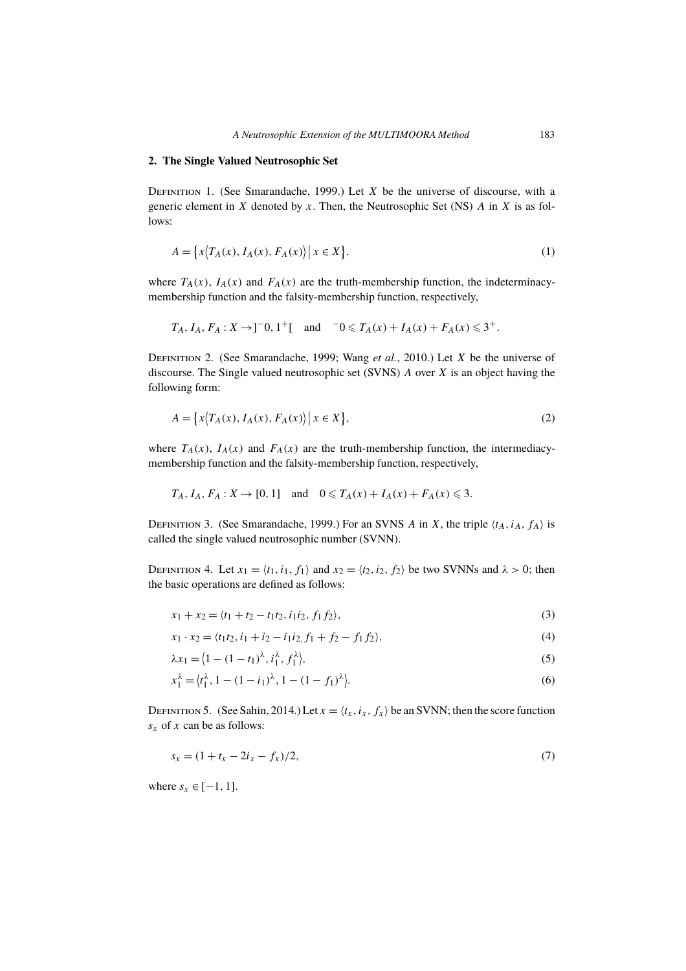#### **2. The Single Valued Neutrosophic Set**

DEFINITION 1. (See Smarandache, 1999.) Let  $X$  be the universe of discourse, with a generic element in X denoted by x. Then, the Neutrosophic Set (NS)  $A$  in X is as follows:

$$
A = \{x \langle T_A(x), I_A(x), F_A(x) \rangle \, | \, x \in X\},\tag{1}
$$

where  $T_A(x)$ ,  $I_A(x)$  and  $F_A(x)$  are the truth-membership function, the indeterminacymembership function and the falsity-membership function, respectively,

$$
T_A
$$
,  $I_A$ ,  $F_A$ :  $X \to ]^{-0}$ ,  $1^{+}$ [ and  $^{-0} \leq T_A(x) + I_A(x) + F_A(x) \leq 3^{+}$ .

DEFINITION 2. (See Smarandache, 1999; Wang *et al.*, 2010.) Let X be the universe of discourse. The Single valued neutrosophic set (SVNS)  $\tilde{A}$  over  $\tilde{X}$  is an object having the following form:

$$
A = \left\{ x \left( T_A(x), I_A(x), F_A(x) \right) \middle| \ x \in X \right\},\tag{2}
$$

where  $T_A(x)$ ,  $I_A(x)$  and  $F_A(x)$  are the truth-membership function, the intermediacymembership function and the falsity-membership function, respectively,

$$
T_A
$$
,  $I_A$ ,  $F_A$ :  $X \to [0, 1]$  and  $0 \le T_A(x) + I_A(x) + F_A(x) \le 3$ .

DEFINITION 3. (See Smarandache, 1999.) For an SVNS A in X, the triple  $(t_A, i_A, f_A)$  is called the single valued neutrosophic number (SVNN).

DEFINITION 4. Let  $x_1 = \langle t_1, i_1, f_1 \rangle$  and  $x_2 = \langle t_2, i_2, f_2 \rangle$  be two SVNNs and  $\lambda > 0$ ; then the basic operations are defined as follows:

$$
x_1 + x_2 = \langle t_1 + t_2 - t_1 t_2, i_1 i_2, f_1 f_2 \rangle,
$$
\n(3)

$$
x_1 \cdot x_2 = \langle t_1 t_2, i_1 + i_2 - i_1 i_2, f_1 + f_2 - f_1 f_2 \rangle,\tag{4}
$$

$$
\lambda x_1 = \langle 1 - (1 - t_1)^{\lambda}, i_1^{\lambda}, f_1^{\lambda} \rangle, \tag{5}
$$

$$
x_1^{\lambda} = \langle t_1^{\lambda}, 1 - (1 - i_1)^{\lambda}, 1 - (1 - f_1)^{\lambda} \rangle.
$$
 (6)

DEFINITION 5. (See Sahin, 2014.) Let  $x = \langle t_x, t_x, f_x \rangle$  be an SVNN; then the score function  $s_x$  of x can be as follows:

$$
s_x = (1 + t_x - 2i_x - f_x)/2, \tag{7}
$$

where  $s_x \in [-1, 1]$ .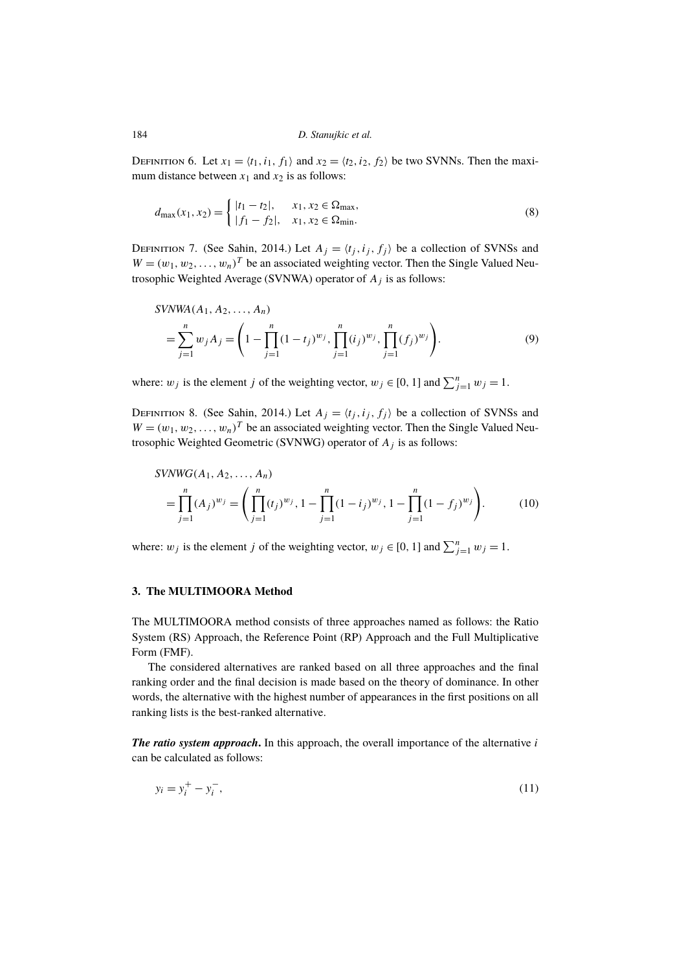DEFINITION 6. Let  $x_1 = \langle t_1, i_1, f_1 \rangle$  and  $x_2 = \langle t_2, i_2, f_2 \rangle$  be two SVNNs. Then the maximum distance between  $x_1$  and  $x_2$  is as follows:

$$
d_{\max}(x_1, x_2) = \begin{cases} |t_1 - t_2|, & x_1, x_2 \in \Omega_{\max}, \\ |f_1 - f_2|, & x_1, x_2 \in \Omega_{\min}. \end{cases}
$$
(8)

DEFINITION 7. (See Sahin, 2014.) Let  $A_j = \langle t_j, i_j, f_j \rangle$  be a collection of SVNSs and  $W = (w_1, w_2, \dots, w_n)^T$  be an associated weighting vector. Then the Single Valued Neutrosophic Weighted Average (SVNWA) operator of  $A_i$  is as follows:

$$
SVNWA(A_1, A_2, ..., A_n)
$$
  
= 
$$
\sum_{j=1}^{n} w_j A_j = \left(1 - \prod_{j=1}^{n} (1 - t_j)^{w_j}, \prod_{j=1}^{n} (i_j)^{w_j}, \prod_{j=1}^{n} (f_j)^{w_j}\right).
$$
 (9)

where:  $w_j$  is the element j of the weighting vector,  $w_j \in [0, 1]$  and  $\sum_{j=1}^{n} w_j = 1$ .

DEFINITION 8. (See Sahin, 2014.) Let  $A_j = \langle t_j, i_j, f_j \rangle$  be a collection of SVNSs and  $W = (w_1, w_2, \dots, w_n)^T$  be an associated weighting vector. Then the Single Valued Neutrosophic Weighted Geometric (SVNWG) operator of  $A_i$  is as follows:

$$
SVMWG(A_1, A_2, ..., A_n)
$$
  
= 
$$
\prod_{j=1}^{n} (A_j)^{w_j} = \left( \prod_{j=1}^{n} (t_j)^{w_j}, 1 - \prod_{j=1}^{n} (1 - i_j)^{w_j}, 1 - \prod_{j=1}^{n} (1 - f_j)^{w_j} \right).
$$
 (10)

where:  $w_j$  is the element j of the weighting vector,  $w_j \in [0, 1]$  and  $\sum_{j=1}^{n} w_j = 1$ .

#### **3. The MULTIMOORA Method**

The MULTIMOORA method consists of three approaches named as follows: the Ratio System (RS) Approach, the Reference Point (RP) Approach and the Full Multiplicative Form (FMF).

The considered alternatives are ranked based on all three approaches and the final ranking order and the final decision is made based on the theory of dominance. In other words, the alternative with the highest number of appearances in the first positions on all ranking lists is the best-ranked alternative.

*The ratio system approach*. In this approach, the overall importance of the alternative i can be calculated as follows:

$$
y_i = y_i^+ - y_i^-, \tag{11}
$$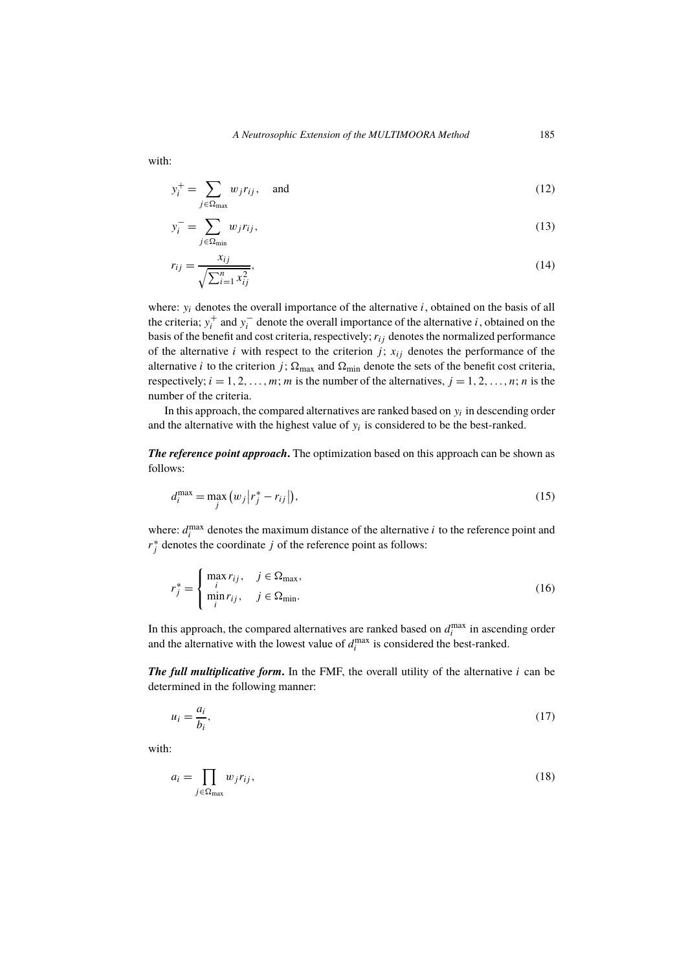with:

$$
y_i^+ = \sum_{j \in \Omega_{\text{max}}} w_j r_{ij}, \quad \text{and} \tag{12}
$$

$$
y_i^- = \sum_{j \in \Omega_{\text{min}}} w_j r_{ij},\tag{13}
$$

$$
r_{ij} = \frac{x_{ij}}{\sqrt{\sum_{i=1}^{n} x_{ij}^2}},\tag{14}
$$

where:  $y_i$  denotes the overall importance of the alternative  $i$ , obtained on the basis of all the criteria;  $y_i^+$  and  $y_i^-$  denote the overall importance of the alternative *i*, obtained on the basis of the benefit and cost criteria, respectively;  $r_{ij}$  denotes the normalized performance of the alternative i with respect to the criterion j;  $x_{ij}$  denotes the performance of the alternative *i* to the criterion *j*;  $\Omega_{\text{max}}$  and  $\Omega_{\text{min}}$  denote the sets of the benefit cost criteria, respectively;  $i = 1, 2, \ldots, m$ ; m is the number of the alternatives,  $j = 1, 2, \ldots, n$ ; n is the number of the criteria.

In this approach, the compared alternatives are ranked based on  $y_i$  in descending order and the alternative with the highest value of  $y_i$  is considered to be the best-ranked.

*The reference point approach***.** The optimization based on this approach can be shown as follows:

$$
d_i^{\max} = \max_j \left( w_j \left| r_j^* - r_{ij} \right| \right),\tag{15}
$$

where:  $d_i^{\max}$  $\sum_{i=1}^{\text{max}}$  denotes the maximum distance of the alternative *i* to the reference point and  $r_j^*$  denotes the coordinate j of the reference point as follows:

$$
r_j^* = \begin{cases} \max_i r_{ij}, & j \in \Omega_{\text{max}}, \\ \min_i r_{ij}, & j \in \Omega_{\text{min}}. \end{cases}
$$
 (16)

In this approach, the compared alternatives are ranked based on  $d_i^{\max}$  $i$ <sup> $max$ </sup> in ascending order and the alternative with the lowest value of  $d_i^{\max}$  $\sum_{i=1}^{\text{max}}$  is considered the best-ranked.

*The full multiplicative form***.** In the FMF, the overall utility of the alternative i can be determined in the following manner:

$$
u_i = \frac{a_i}{b_i},\tag{17}
$$

with:

$$
a_i = \prod_{j \in \Omega_{\text{max}}} w_j r_{ij},\tag{18}
$$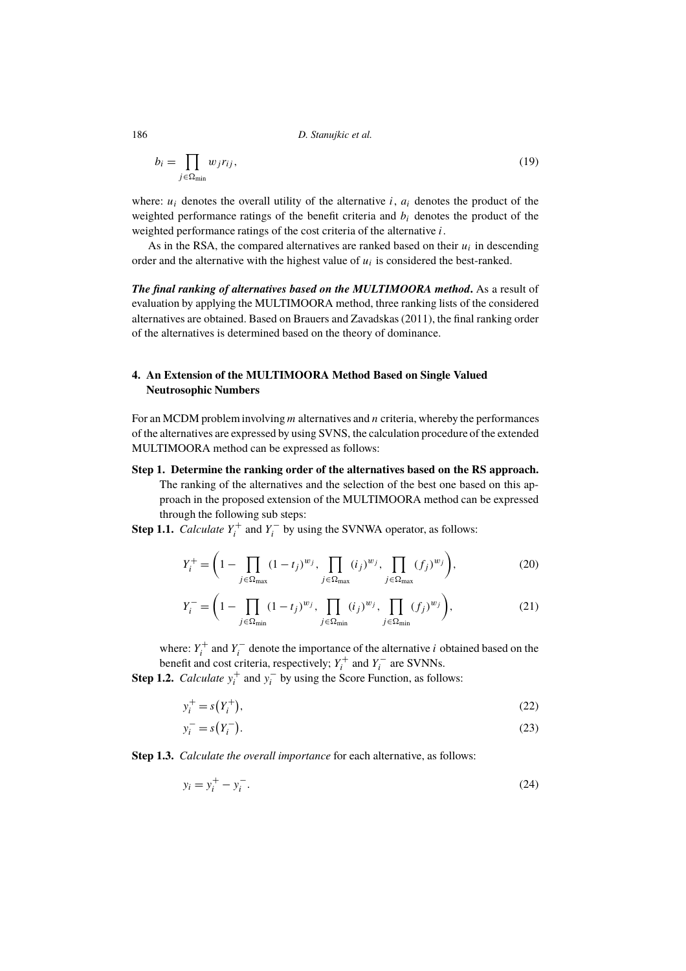$$
b_i = \prod_{j \in \Omega_{\min}} w_j r_{ij},\tag{19}
$$

where:  $u_i$  denotes the overall utility of the alternative i,  $a_i$  denotes the product of the weighted performance ratings of the benefit criteria and  $b_i$  denotes the product of the weighted performance ratings of the cost criteria of the alternative i.

As in the RSA, the compared alternatives are ranked based on their  $u_i$  in descending order and the alternative with the highest value of  $u_i$  is considered the best-ranked.

*The final ranking of alternatives based on the MULTIMOORA method***.** As a result of evaluation by applying the MULTIMOORA method, three ranking lists of the considered alternatives are obtained. Based on Brauers and Zavadskas (2011), the final ranking order of the alternatives is determined based on the theory of dominance.

## **4. An Extension of the MULTIMOORA Method Based on Single Valued Neutrosophic Numbers**

For an MCDM problem involving  $m$  alternatives and  $n$  criteria, whereby the performances of the alternatives are expressed by using SVNS, the calculation procedure of the extended MULTIMOORA method can be expressed as follows:

**Step 1. Determine the ranking order of the alternatives based on the RS approach.** The ranking of the alternatives and the selection of the best one based on this approach in the proposed extension of the MULTIMOORA method can be expressed through the following sub steps:

**Step 1.1.** *Calculate*  $Y_i^+$  and  $Y_i^-$  by using the SVNWA operator, as follows:

$$
Y_i^+ = \left(1 - \prod_{j \in \Omega_{\text{max}}} (1 - t_j)^{w_j}, \prod_{j \in \Omega_{\text{max}}} (i_j)^{w_j}, \prod_{j \in \Omega_{\text{max}}} (f_j)^{w_j}\right),\tag{20}
$$

$$
Y_i^- = \left(1 - \prod_{j \in \Omega_{\min}} (1 - t_j)^{w_j}, \prod_{j \in \Omega_{\min}} (i_j)^{w_j}, \prod_{j \in \Omega_{\min}} (f_j)^{w_j}\right),\tag{21}
$$

where:  $Y_i^+$  and  $Y_i^-$  denote the importance of the alternative *i* obtained based on the benefit and cost criteria, respectively;  $Y_i^+$  and  $Y_i^-$  are SVNNs.

**Step 1.2.** *Calculate*  $y_i^+$  and  $y_i^-$  by using the Score Function, as follows:

$$
y_i^+ = s(Y_i^+),\tag{22}
$$

$$
y_i^- = s(Y_i^-). \tag{23}
$$

**Step 1.3.** *Calculate the overall importance* for each alternative, as follows:

$$
y_i = y_i^+ - y_i^-.
$$
 (24)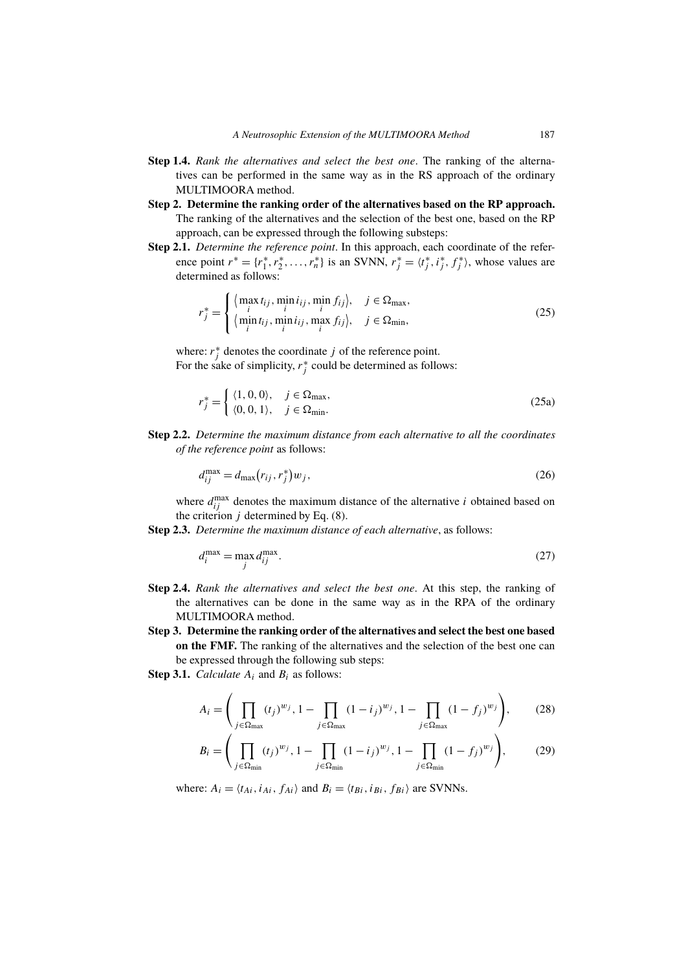- **Step 1.4.** *Rank the alternatives and select the best one*. The ranking of the alternatives can be performed in the same way as in the RS approach of the ordinary MULTIMOORA method.
- **Step 2. Determine the ranking order of the alternatives based on the RP approach.** The ranking of the alternatives and the selection of the best one, based on the RP approach, can be expressed through the following substeps:
- **Step 2.1.** *Determine the reference point*. In this approach, each coordinate of the reference point  $r^* = \{r_1^*, r_2^*, \dots, r_n^*\}$  is an SVNN,  $r_j^* = \langle t_j^*, i_j^*, f_j^* \rangle$ , whose values are determined as follows:

$$
r_j^* = \begin{cases} \langle \max_{i} t_{ij}, \min_{i} i_{ij}, \min_{i} f_{ij} \rangle, & j \in \Omega_{\text{max}},\\ \langle \min_{i} t_{ij}, \min_{i} i_{ij}, \max_{i} f_{ij} \rangle, & j \in \Omega_{\text{min}}, \end{cases}
$$
(25)

where:  $r_j^*$  denotes the coordinate j of the reference point. For the sake of simplicity,  $r_j^*$  could be determined as follows:

$$
r_j^* = \begin{cases} \langle 1, 0, 0 \rangle, & j \in \Omega_{\text{max}}, \\ \langle 0, 0, 1 \rangle, & j \in \Omega_{\text{min}}. \end{cases}
$$
 (25a)

**Step 2.2.** *Determine the maximum distance from each alternative to all the coordinates of the reference point* as follows:

$$
d_{ij}^{\max} = d_{\max}(r_{ij}, r_j^*) w_j,
$$
\n<sup>(26)</sup>

where  $d_{ij}^{\text{max}}$  denotes the maximum distance of the alternative *i* obtained based on the criterion  $j$  determined by Eq. (8).

**Step 2.3.** *Determine the maximum distance of each alternative*, as follows:

$$
d_i^{\max} = \max_j d_{ij}^{\max}.
$$
\n(27)

- **Step 2.4.** *Rank the alternatives and select the best one*. At this step, the ranking of the alternatives can be done in the same way as in the RPA of the ordinary MULTIMOORA method.
- **Step 3. Determine the ranking order of the alternatives and select the best one based on the FMF.** The ranking of the alternatives and the selection of the best one can be expressed through the following sub steps:
- **Step 3.1.** *Calculate*  $A_i$  and  $B_i$  as follows:

 $\epsilon$ 

$$
A_{i} = \left(\prod_{j \in \Omega_{\text{max}}} (t_{j})^{w_{j}}, 1 - \prod_{j \in \Omega_{\text{max}}} (1 - i_{j})^{w_{j}}, 1 - \prod_{j \in \Omega_{\text{max}}} (1 - f_{j})^{w_{j}}\right),
$$
(28)

$$
B_i = \left( \prod_{j \in \Omega_{\min}} (t_j)^{w_j}, 1 - \prod_{j \in \Omega_{\min}} (1 - i_j)^{w_j}, 1 - \prod_{j \in \Omega_{\min}} (1 - f_j)^{w_j} \right), \tag{29}
$$

where:  $A_i = \langle t_{Ai}, i_{Ai}, f_{Ai} \rangle$  and  $B_i = \langle t_{Bi}, i_{Bi}, f_{Bi} \rangle$  are SVNNs.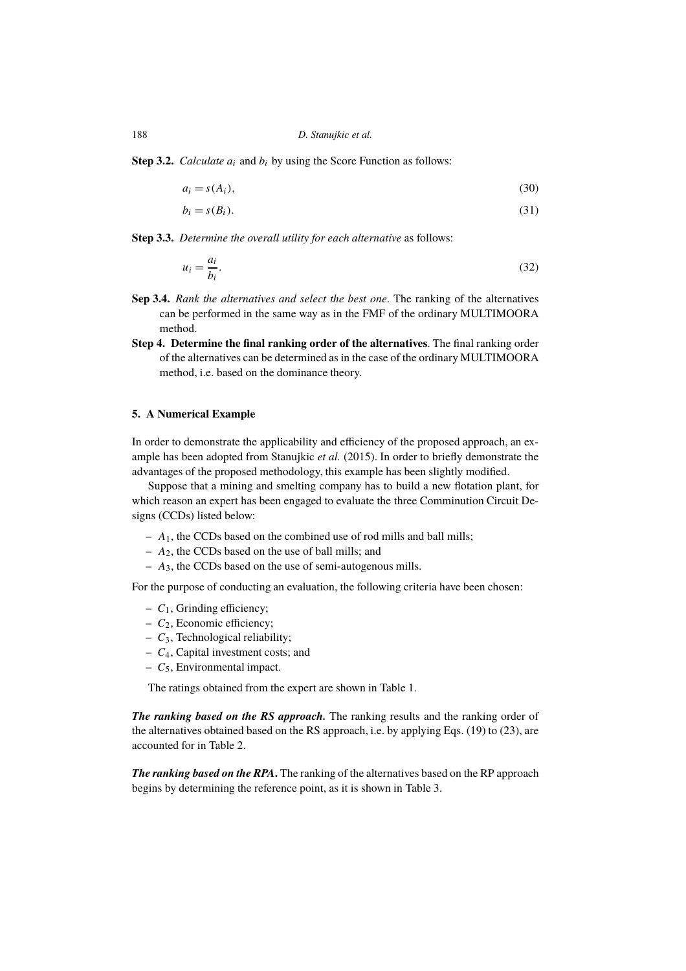**Step 3.2.** *Calculate*  $a_i$  and  $b_i$  by using the Score Function as follows:

$$
a_i = s(A_i),\tag{30}
$$

$$
b_i = s(B_i). \tag{31}
$$

**Step 3.3.** *Determine the overall utility for each alternative* as follows:

$$
u_i = \frac{a_i}{b_i}.\tag{32}
$$

- **Sep 3.4.** *Rank the alternatives and select the best one*. The ranking of the alternatives can be performed in the same way as in the FMF of the ordinary MULTIMOORA method.
- **Step 4. Determine the final ranking order of the alternatives**. The final ranking order of the alternatives can be determined as in the case of the ordinary MULTIMOORA method, i.e. based on the dominance theory.

#### **5. A Numerical Example**

In order to demonstrate the applicability and efficiency of the proposed approach, an example has been adopted from Stanujkic *et al.* (2015). In order to briefly demonstrate the advantages of the proposed methodology, this example has been slightly modified.

Suppose that a mining and smelting company has to build a new flotation plant, for which reason an expert has been engaged to evaluate the three Comminution Circuit Designs (CCDs) listed below:

- $A_1$ , the CCDs based on the combined use of rod mills and ball mills;
- $A_2$ , the CCDs based on the use of ball mills; and
- $A_3$ , the CCDs based on the use of semi-autogenous mills.

For the purpose of conducting an evaluation, the following criteria have been chosen:

- $C_1$ , Grinding efficiency;
- $C_2$ , Economic efficiency;
- $-C_3$ , Technological reliability;
- $C_4$ , Capital investment costs; and
- $-C<sub>5</sub>$ , Environmental impact.

The ratings obtained from the expert are shown in Table 1.

*The ranking based on the RS approach.* The ranking results and the ranking order of the alternatives obtained based on the RS approach, i.e. by applying Eqs. (19) to (23), are accounted for in Table 2.

*The ranking based on the RPA***.** The ranking of the alternatives based on the RP approach begins by determining the reference point, as it is shown in Table 3.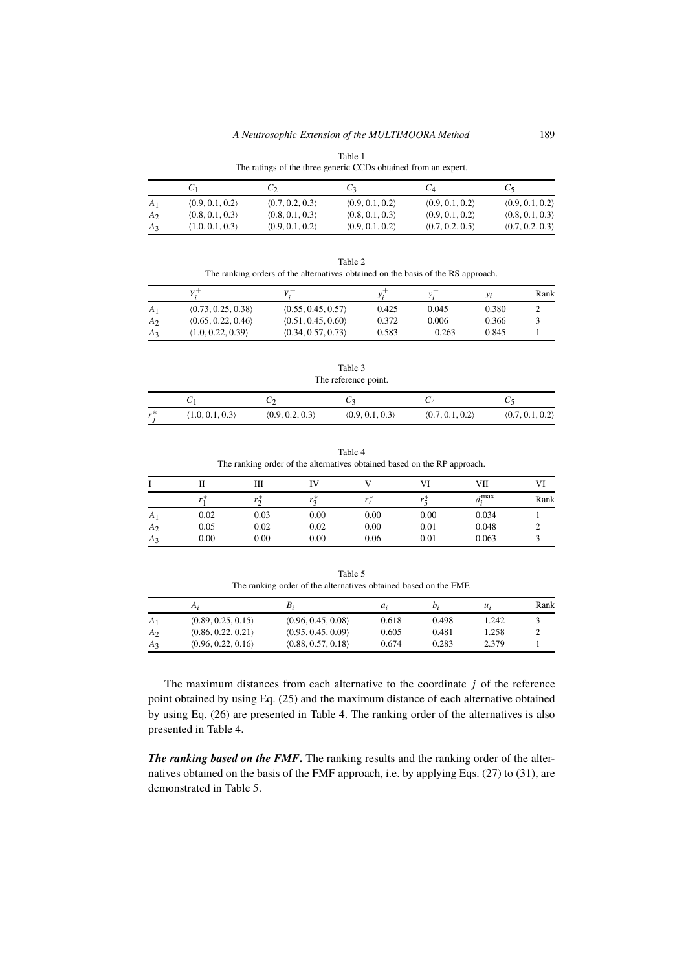| Table 1                                                        |  |
|----------------------------------------------------------------|--|
| The ratings of the three generic CCDs obtained from an expert. |  |

|                | U1              | ပေ              | U٩              | $C_4$           | Ċ٢              |
|----------------|-----------------|-----------------|-----------------|-----------------|-----------------|
| $A_1$          | (0.9, 0.1, 0.2) | (0.7, 0.2, 0.3) | (0.9, 0.1, 0.2) | (0.9, 0.1, 0.2) | (0.9, 0.1, 0.2) |
| A <sub>2</sub> | (0.8, 0.1, 0.3) | (0.8, 0.1, 0.3) | (0.8, 0.1, 0.3) | (0.9, 0.1, 0.2) | (0.8, 0.1, 0.3) |
| $A_3$          | (1.0, 0.1, 0.3) | (0.9, 0.1, 0.2) | (0.9, 0.1, 0.2) | (0.7, 0.2, 0.5) | (0.7, 0.2, 0.3) |

Table 2 The ranking orders of the alternatives obtained on the basis of the RS approach.

|                |                    |                    |       | ν,       |       | Rank |
|----------------|--------------------|--------------------|-------|----------|-------|------|
| $A_1$          | (0.73, 0.25, 0.38) | (0.55, 0.45, 0.57) | 0.425 | 0.045    | 0.380 |      |
| A <sub>2</sub> | (0.65, 0.22, 0.46) | (0.51, 0.45, 0.60) | 0.372 | 0.006    | 0.366 |      |
| A3             | (1.0, 0.22, 0.39)  | (0.34, 0.57, 0.73) | 0.583 | $-0.263$ | 0.845 |      |

Table 3 The reference point.

| $r^*$ | (1.0, 0.1, 0.3) | (0.9, 0.2, 0.3) | (0.9, 0.1, 0.3) | (0.7, 0.1, 0.2) | (0.7, 0.1, 0.2) |
|-------|-----------------|-----------------|-----------------|-----------------|-----------------|

Table 4 The ranking order of the alternatives obtained based on the RP approach.

|                |      | Ш    |           |           |      | VІI                      |      |
|----------------|------|------|-----------|-----------|------|--------------------------|------|
|                | *    |      | $\cdot$ * | $\cdot$ * |      | $\lambda$ max<br>$\mu$ . | Rank |
| A <sub>1</sub> | 0.02 | 0.03 | 0.00      | 0.00      | 0.00 | 0.034                    |      |
| A <sub>2</sub> | 0.05 | 0.02 | 0.02      | 0.00      | 0.01 | 0.048                    |      |
| $A_3$          | 0.00 | 0.00 | 0.00      | 0.06      | 0.01 | 0.063                    |      |

Table 5 The ranking order of the alternatives obtained based on the FMF.

|                | $A_i$              | $B_i$              | a;    | $\mathfrak{b}:$ | $u_i$ | Rank |
|----------------|--------------------|--------------------|-------|-----------------|-------|------|
| A <sub>1</sub> | (0.89, 0.25, 0.15) | (0.96, 0.45, 0.08) | 0.618 | 0.498           | 1.242 |      |
| A <sub>2</sub> | (0.86, 0.22, 0.21) | (0.95, 0.45, 0.09) | 0.605 | 0.481           | .258  | ∸    |
| $A_3$          | (0.96, 0.22, 0.16) | (0.88, 0.57, 0.18) | 0.674 | 0.283           | 2.379 |      |

The maximum distances from each alternative to the coordinate  $j$  of the reference point obtained by using Eq. (25) and the maximum distance of each alternative obtained by using Eq. (26) are presented in Table 4. The ranking order of the alternatives is also presented in Table 4.

*The ranking based on the FMF***.** The ranking results and the ranking order of the alternatives obtained on the basis of the FMF approach, i.e. by applying Eqs. (27) to (31), are demonstrated in Table 5.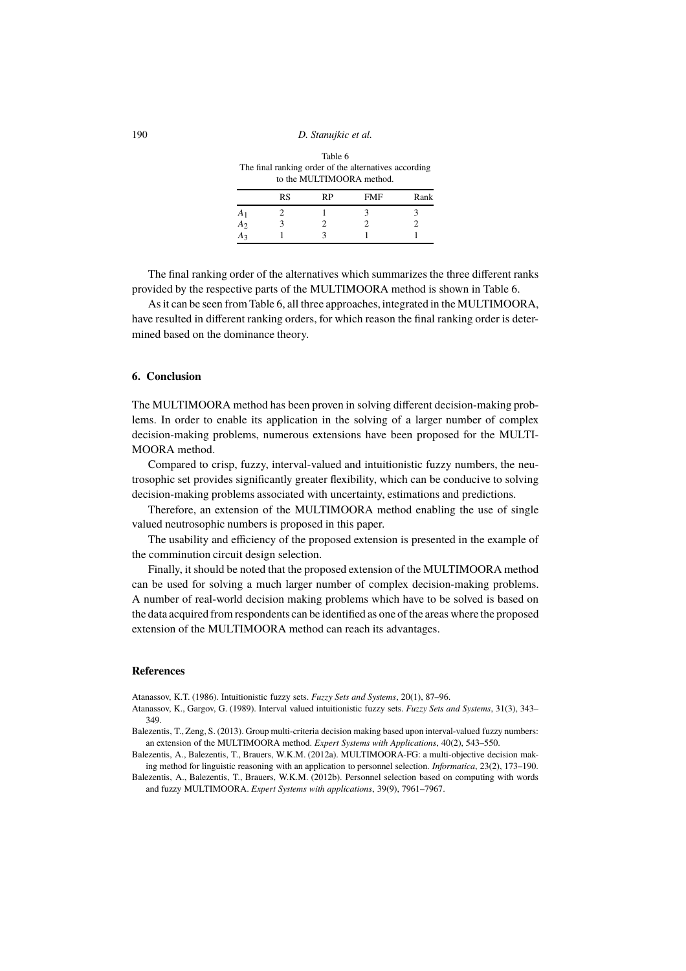Table 6 The final ranking order of the alternatives according to the MULTIMOORA method.

|                | <b>RS</b> | RP | FMF | Rank |
|----------------|-----------|----|-----|------|
| $A^{\cdot}$    |           |    |     |      |
| A <sub>2</sub> |           |    |     |      |
| $A_2$          |           |    |     |      |

The final ranking order of the alternatives which summarizes the three different ranks provided by the respective parts of the MULTIMOORA method is shown in Table 6.

As it can be seen from Table 6, all three approaches, integrated in the MULTIMOORA, have resulted in different ranking orders, for which reason the final ranking order is determined based on the dominance theory.

#### **6. Conclusion**

The MULTIMOORA method has been proven in solving different decision-making problems. In order to enable its application in the solving of a larger number of complex decision-making problems, numerous extensions have been proposed for the MULTI-MOORA method.

Compared to crisp, fuzzy, interval-valued and intuitionistic fuzzy numbers, the neutrosophic set provides significantly greater flexibility, which can be conducive to solving decision-making problems associated with uncertainty, estimations and predictions.

Therefore, an extension of the MULTIMOORA method enabling the use of single valued neutrosophic numbers is proposed in this paper.

The usability and efficiency of the proposed extension is presented in the example of the comminution circuit design selection.

Finally, it should be noted that the proposed extension of the MULTIMOORA method can be used for solving a much larger number of complex decision-making problems. A number of real-world decision making problems which have to be solved is based on the data acquired from respondents can be identified as one of the areas where the proposed extension of the MULTIMOORA method can reach its advantages.

#### **References**

Atanassov, K.T. (1986). Intuitionistic fuzzy sets. *Fuzzy Sets and Systems*, 20(1), 87–96.

- Atanassov, K., Gargov, G. (1989). Interval valued intuitionistic fuzzy sets. *Fuzzy Sets and Systems*, 31(3), 343– 349.
- Balezentis, T., Zeng, S. (2013). Group multi-criteria decision making based upon interval-valued fuzzy numbers: an extension of the MULTIMOORA method. *Expert Systems with Applications*, 40(2), 543–550.
- Balezentis, A., Balezentis, T., Brauers, W.K.M. (2012a). MULTIMOORA-FG: a multi-objective decision making method for linguistic reasoning with an application to personnel selection. *Informatica*, 23(2), 173–190.
- Balezentis, A., Balezentis, T., Brauers, W.K.M. (2012b). Personnel selection based on computing with words and fuzzy MULTIMOORA. *Expert Systems with applications*, 39(9), 7961–7967.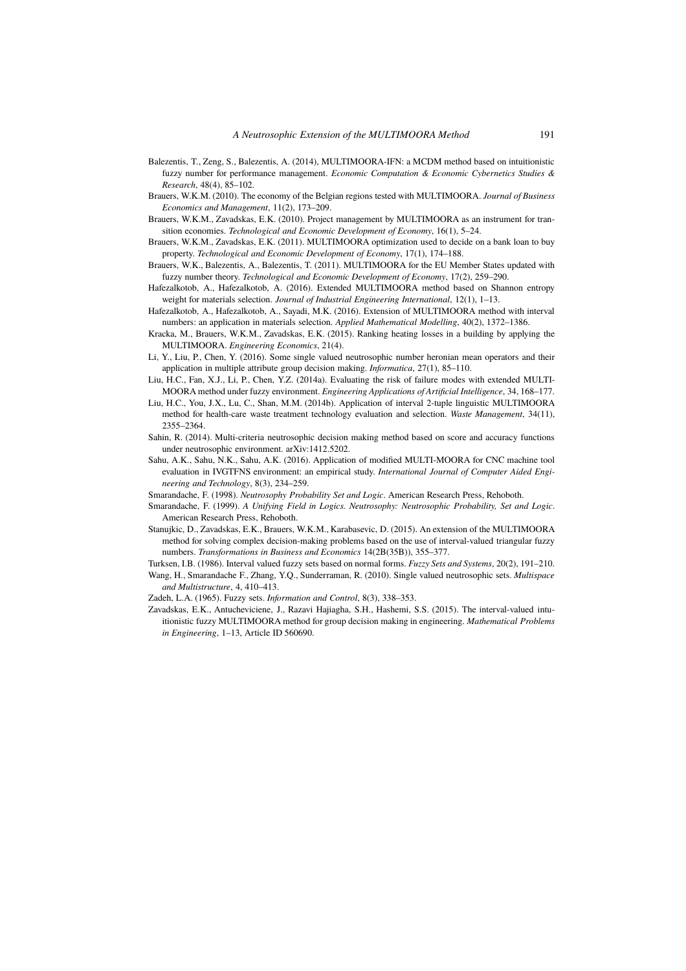- Balezentis, T., Zeng, S., Balezentis, A. (2014), MULTIMOORA-IFN: a MCDM method based on intuitionistic fuzzy number for performance management. *Economic Computation & Economic Cybernetics Studies & Research*, 48(4), 85–102.
- Brauers, W.K.M. (2010). The economy of the Belgian regions tested with MULTIMOORA. *Journal of Business Economics and Management*, 11(2), 173–209.
- Brauers, W.K.M., Zavadskas, E.K. (2010). Project management by MULTIMOORA as an instrument for transition economies. *Technological and Economic Development of Economy*, 16(1), 5–24.
- Brauers, W.K.M., Zavadskas, E.K. (2011). MULTIMOORA optimization used to decide on a bank loan to buy property. *Technological and Economic Development of Economy*, 17(1), 174–188.
- Brauers, W.K., Balezentis, A., Balezentis, T. (2011). MULTIMOORA for the EU Member States updated with fuzzy number theory. *Technological and Economic Development of Economy*, 17(2), 259–290.
- Hafezalkotob, A., Hafezalkotob, A. (2016). Extended MULTIMOORA method based on Shannon entropy weight for materials selection. *Journal of Industrial Engineering International*, 12(1), 1–13.
- Hafezalkotob, A., Hafezalkotob, A., Sayadi, M.K. (2016). Extension of MULTIMOORA method with interval numbers: an application in materials selection. *Applied Mathematical Modelling*, 40(2), 1372–1386.
- Kracka, M., Brauers, W.K.M., Zavadskas, E.K. (2015). Ranking heating losses in a building by applying the MULTIMOORA. *Engineering Economics*, 21(4).
- Li, Y., Liu, P., Chen, Y. (2016). Some single valued neutrosophic number heronian mean operators and their application in multiple attribute group decision making. *Informatica*, 27(1), 85–110.
- Liu, H.C., Fan, X.J., Li, P., Chen, Y.Z. (2014a). Evaluating the risk of failure modes with extended MULTI-MOORA method under fuzzy environment. *Engineering Applications of Artificial Intelligence*, 34, 168–177.
- Liu, H.C., You, J.X., Lu, C., Shan, M.M. (2014b). Application of interval 2-tuple linguistic MULTIMOORA method for health-care waste treatment technology evaluation and selection. *Waste Management*, 34(11), 2355–2364.
- Sahin, R. (2014). Multi-criteria neutrosophic decision making method based on score and accuracy functions under neutrosophic environment. arXiv:1412.5202.
- Sahu, A.K., Sahu, N.K., Sahu, A.K. (2016). Application of modified MULTI-MOORA for CNC machine tool evaluation in IVGTFNS environment: an empirical study. *International Journal of Computer Aided Engineering and Technology*, 8(3), 234–259.
- Smarandache, F. (1998). *Neutrosophy Probability Set and Logic*. American Research Press, Rehoboth.
- Smarandache, F. (1999). *A Unifying Field in Logics. Neutrosophy: Neutrosophic Probability, Set and Logic*. American Research Press, Rehoboth.
- Stanujkic, D., Zavadskas, E.K., Brauers, W.K.M., Karabasevic, D. (2015). An extension of the MULTIMOORA method for solving complex decision-making problems based on the use of interval-valued triangular fuzzy numbers. *Transformations in Business and Economics* 14(2B(35B)), 355–377.
- Turksen, I.B. (1986). Interval valued fuzzy sets based on normal forms. *Fuzzy Sets and Systems*, 20(2), 191–210. Wang, H., Smarandache F., Zhang, Y.Q., Sunderraman, R. (2010). Single valued neutrosophic sets. *Multispace and Multistructure*, 4, 410–413.
- Zadeh, L.A. (1965). Fuzzy sets. *Information and Control*, 8(3), 338–353.
- Zavadskas, E.K., Antucheviciene, J., Razavi Hajiagha, S.H., Hashemi, S.S. (2015). The interval-valued intuitionistic fuzzy MULTIMOORA method for group decision making in engineering. *Mathematical Problems in Engineering*, 1–13, Article ID 560690.